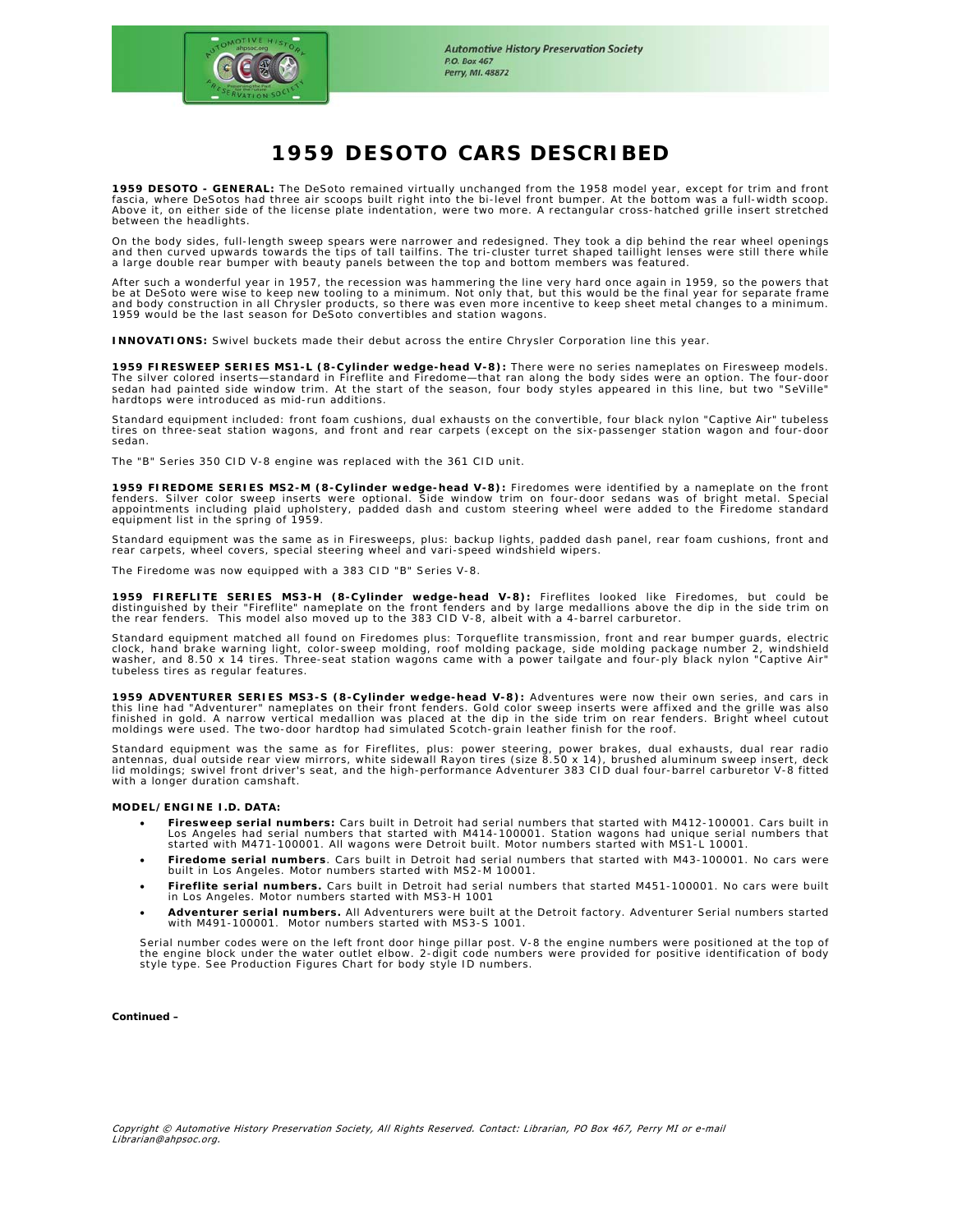

# **1959 DESOTO CARS DESCRIBED**

**1959 DESOTO - GENERAL:** The DeSoto remained virtually unchanged from the 1958 model year, except for trim and front<br>fascia, where DeSotos had three air scoops built right into the bi-level front bumper. At the bottom was Above it, on either side of the license plate indentation, were two more. A rectangular cross-hatched grille insert stretched between the headlights.

On the body sides, full-length sweep spears were narrower and redesigned. They took a dip behind the rear wheel openings<br>and then curved upwards towards the tips of tall tailfins. The tri-cluster turret shaped taillight le

After such a wonderful year in 1957, the recession was hammering the line very hard once again in 1959, so the powers that<br>be at DeSoto were wise to keep new tooling to a minimum. Not only that, but this would be the final 1959 would be the last season for DeSoto convertibles and station wagons.

**INNOVATIONS:** Swivel buckets made their debut across the entire Chrysler Corporation line this year.

**1959 FIRESWEEP SERIES MS1-L (8-Cylinder wedge-head V-8):** There were no series nameplates on Firesweep models.<br>The silver colored inserts—standard in Fireflite and Firedome—that ran along the body sides were an option. Th sedan had painted side window trim. At the start of the season, four body styles appeared in this line, but two "SeVille" hardtops were introduced as mid-run additions.

Standard equipment included: front foam cushions, dual exhausts on the convertible, four black nylon "Captive Air" tubeless<br>tires on three-seat station wagons, and front and rear carpets (except on the six-passenger statio sedan.

The "B" Series 350 CID V-8 engine was replaced with the 361 CID unit.

**1959 FIREDOME SERIES MS2-M (8-Cylinder wedge-head V-8):** Firedomes were identified by a nameplate on the front<br>fenders. Silver color sweep inserts were optional. Side window trim on four-door sedans was of bright metal. S

Standard equipment was the same as in Firesweeps, plus: backup lights, padded dash panel, rear foam cushions, front and rear carpets, wheel covers, special steering wheel and vari-speed windshield wipers.

The Firedome was now equipped with a 383 CID "B" Series V-8.

**1959 FIREFLITE SERIES MS3-H (8-Cylinder wedge-head V-8):** Fireflites looked like Firedomes, but could be<br>distinguished by their "Fireflite" nameplate on the front fenders and by large medallions above the dip in the side

Standard equipment matched all found on Firedomes plus: Torqueflite transmission, front and rear bumper guards, electric clock, hand brake warning light, color-sweep molding, roof molding package, side molding package number 2, windshield<br>washer, and 8.50 x 14 tires. Three-seat station wagons came with a power tailgate and four-ply black nyl tubeless tires as regular features.

**1959 ADVENTURER SERIES MS3-S (8-Cylinder wedge-head V-8):** Adventures were now their own series, and cars in this line had "Adventurer" nameplates on their front fenders. Gold color sweep inserts were affixed and the grille was also<br>finished in gold. A narrow vertical medallion was placed at the dip in the side trim on rear fende moldings were used. The two-door hardtop had simulated Scotch-grain leather finish for the roof.

Standard equipment was the same as for Fireflites, plus: power steering, power brakes, dual exhausts, dual rear radio<br>antennas, dual outside rear view mirrors, white sidewall Rayon tires (size 8.50 x 14), brushed aluminum

#### **MODEL/ENGINE I.D. DATA:**

- Firesweep serial numbers: Cars built in Detroit had serial numbers that started with M412-100001. Cars built in<br>Los Angeles had serial numbers that started with M414-100001. Station wagons had unique serial numbers that started with M471-100001. All wagons were Detroit built. Motor numbers started with MS1-L 10001.
- **Firedome serial numbers**. Cars built in Detroit had serial numbers that started with M43-100001. No cars were built in Los Angeles. Motor numbers started with MS2-M 10001.
- **Fireflite serial numbers.** Cars built in Detroit had serial numbers that started M451-100001. No cars were built in Los Angeles. Motor numbers started with MS3-H 1001
- **Adventurer serial numbers.** All Adventurers were built at the Detroit factory. Adventurer Serial numbers started with M491-100001. Motor numbers started with MS3-S 1001.

Serial number codes were on the left front door hinge pillar post. V-8 the engine numbers were positioned at the top of<br>the engine block under the water outlet elbow. 2-digit code numbers were provided for positive identif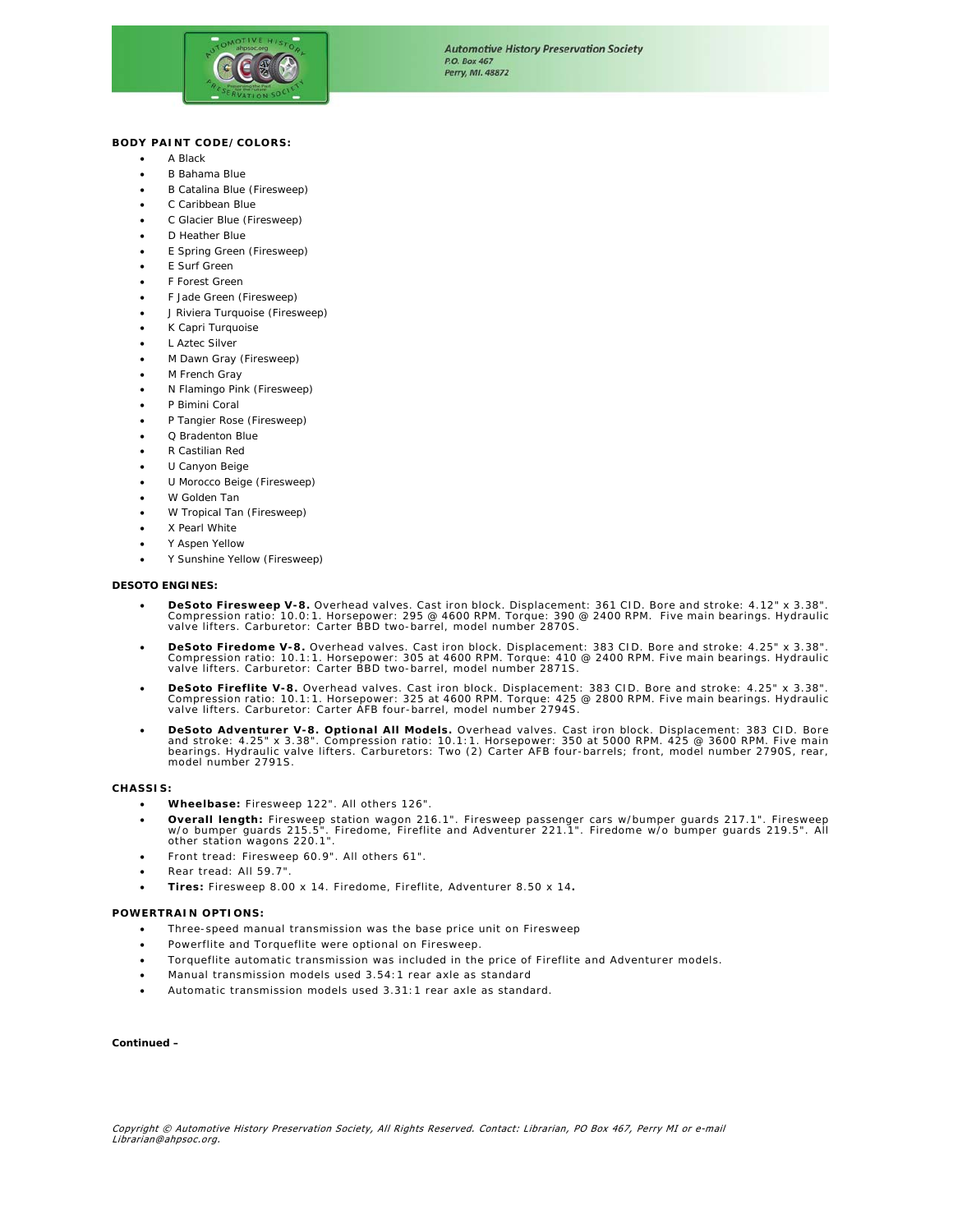

## **BODY PAINT CODE/COLORS:**

- A Black
- B Bahama Blue
- B Catalina Blue (Firesweep)
- C Caribbean Blue
- C Glacier Blue (Firesweep)
- D Heather Blue
- E Spring Green (Firesweep)
- E Surf Green
- F Forest Green
- F Jade Green (Firesweep)
- J Riviera Turquoise (Firesweep)
- K Capri Turquoise
- L Aztec Silver
- M Dawn Gray (Firesweep)
- M French Gray
- N Flamingo Pink (Firesweep)
- P Bimini Coral
- P Tangier Rose (Firesweep)
- Q Bradenton Blue
- R Castilian Red
- U Canyon Beige
- U Morocco Beige (Firesweep)
- W Golden Tan
- W Tropical Tan (Firesweep)
- X Pearl White
- Y Aspen Yellow
- Y Sunshine Yellow (Firesweep)

#### **DESOTO ENGINES:**

- DeSoto Firesweep V-8. Overhead valves. Cast iron block. Displacement: 361 CID. Bore and stroke: 4.12" x 3.38".<br>Compression ratio: 10.0:1. Horsepower: 295 @ 4600 RPM. Torque: 390 @ 2400 RPM. Five main bearings. Hydraulic<br>
- DeSoto Firedome V-8. Overhead valves. Cast iron block. Displacement: 383 CID. Bore and stroke: 4.25" x 3.38".<br>Compression ratio: 10.1:1. Horsepower: 305 at 4600 RPM. Torque: 410 @ 2400 RPM. Five main bearings. Hydraulic<br>
- DeSoto Fireflite V-8. Overhead valves. Cast iron block. Displacement: 383 CID. Bore and stroke: 4.25" x 3.38".<br>Compression ratio: 10.1:1. Horsepower: 325 at 4600 RPM. Torque: 425 @ 2800 RPM. Five main bearings. Hydraulic
- DeSoto Adventurer V-8. Optional All Models. Overhead valves. Cast iron block. Displacement: 383 CID. Bore and stroke: 4.25" x 3.38". Compression ratio: 10.1:1. Horsepower: 353 CID. Bore<br>and stroke: 4.25" x 3.38". Compressi model number 2791S.

#### **CHASSIS:**

- **Wheelbase:** Firesweep 122". All others 126".
- Overall length: Firesweep station wagon 216.1". Firesweep passenger cars w/bumper guards 217.1". Firesweep<br>w/o bumper guards 219.5". Firedome, Fireflite and Adventurer 221.1". Firedome w/o bumper guards 219.5". All<br>other
- Front tread: Firesweep 60.9". All others 61".
- Rear tread: All 59.7".
- **Tires:** Firesweep 8.00 x 14. Firedome, Fireflite, Adventurer 8.50 x 14**.**

#### **POWERTRAIN OPTIONS:**

- Three-speed manual transmission was the base price unit on Firesweep
- Powerflite and Torqueflite were optional on Firesweep.
- Torqueflite automatic transmission was included in the price of Fireflite and Adventurer models.
- Manual transmission models used 3.54:1 rear axle as standard
- Automatic transmission models used 3.31:1 rear axle as standard.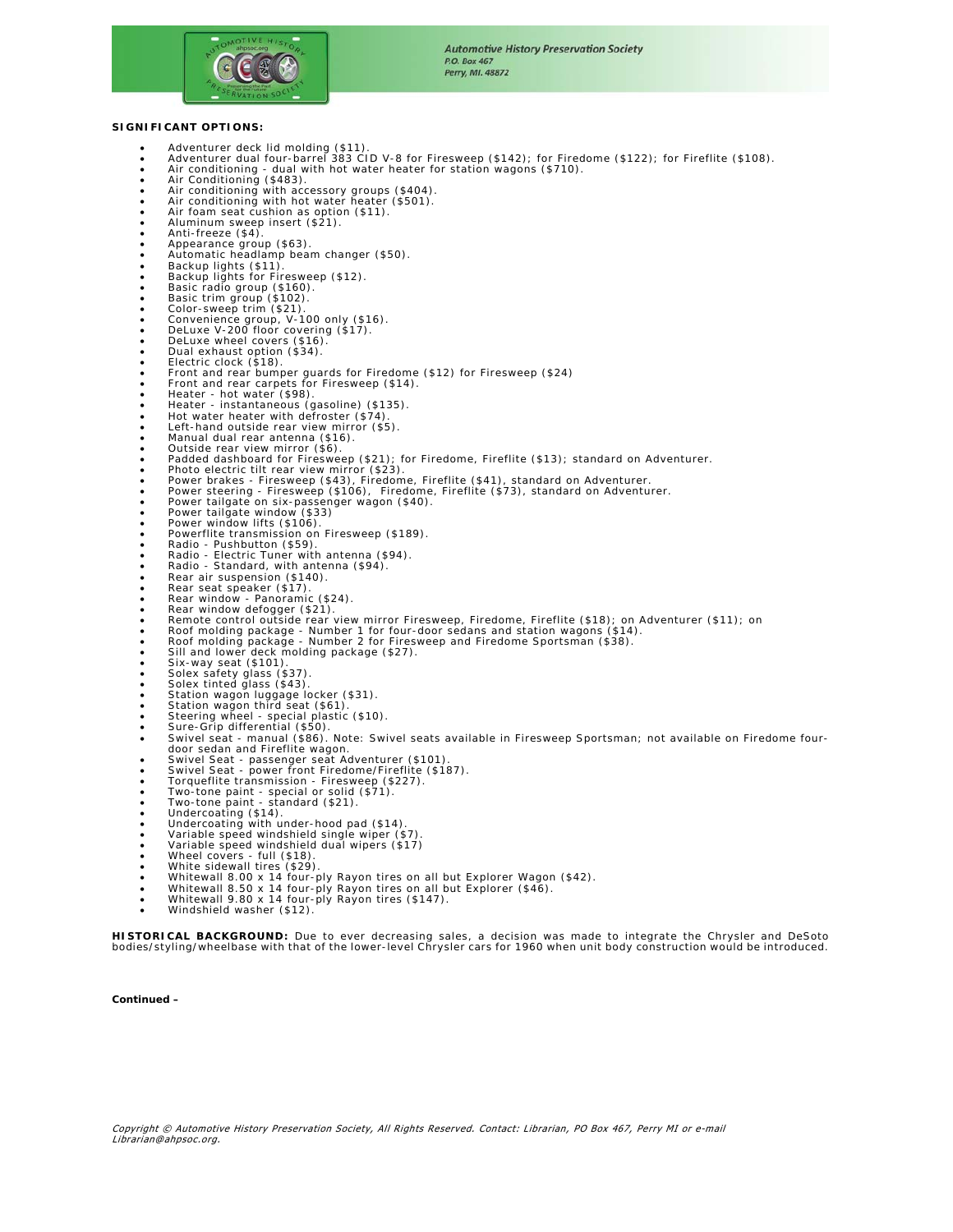

## **SIGNIFICANT OPTIONS:**

- 
- Adventurer deck lid molding (\$11).<br>• Adventurer dual four-barrel 383 CID V-8 for Firesweep (\$142); for Firedome (\$122); for Fireflite (\$108).<br>• Air conditioning dual with hot water heater for station wagons
- 
- 
- Air conditioning with accessory groups (\$404). Air conditioning with hot water heater (\$501).
- Air foam seat cushion as option (\$11). Aluminum sweep insert (\$21). Anti-freeze (\$4).
- 
- 
- Appearance group (\$63).<br>• Automatic headlamp beam changer (\$50).<br>• Backup lights for Firesweep (\$12).
- 
- 
- 
- 
- 
- Basic radio group (\$160). Basic trim group (\$102). Color-sweep trim (\$21). Convenience group, V-100 only (\$16). DeLuxe V-200 floor covering (\$17).
- 
- 
- 
- DeLuxe wheel covers (\$16).<br>• Electric clock (\$18).<br>• Electric clock (\$18).<br>• Front and rear bumper guards for Firedome (\$12) for Firesweep (\$24)<br>• Front and rear carpets for Firesweep (\$14).<br>• Heater instantaneous (gas
- 
- 
- 
- 
- 
- 
- Padded dashboard for Firesweep (\$21); for Firedome, Fireflite (\$13); standard on Adventurer.<br>• Photo electric tilt rear view mirror (\$23).<br>• Power brakes Firesweep (\$43), Firedome, Fireflite (\$41), standard on Adventur
- 
- 
- 
- 
- 
- Power tailgate window (\$33)<br>• Power window lifts (\$106).<br>• Powerflite transmission on Firesweep (\$189).
- 
- Radio Pushbutton (\$59).<br>• Radio Electric Tuner with antenna (\$94).<br>• Radio Standard, with antenna (\$94).
- 
- 
- 
- 
- Rear air suspension (\$140).<br>• Rear seat speaker (\$17).<br>• Rear window Panoramic (\$24).<br>• Rear window defogger (\$21).<br>• Roof molding package Number 1 for four-door sedans and station wagons (\$14).<br>•
- 
- 
- 
- 
- 
- 
- 
- 
- 
- Sili and lower deck molding package (\$27).<br>• Six-way seat (\$101).<br>• Solex safety glass (\$37).<br>• Solex safety glass (\$43).<br>• Station wagon luigage locker (\$31).<br>• Station wagon luigage locker (\$31).<br>• Station wagon luigag
- 
- 
- 
- 
- 
- 
- 
- 
- 
- 
- 
- 
- 
- 

**HISTORICAL BACKGROUND:** Due to ever decreasing sales, a decision was made to integrate the Chrysler and DeSoto<br>bodies/styling/wheelbase with that of the lower-level Chrysler cars for 1960 when unit body construction would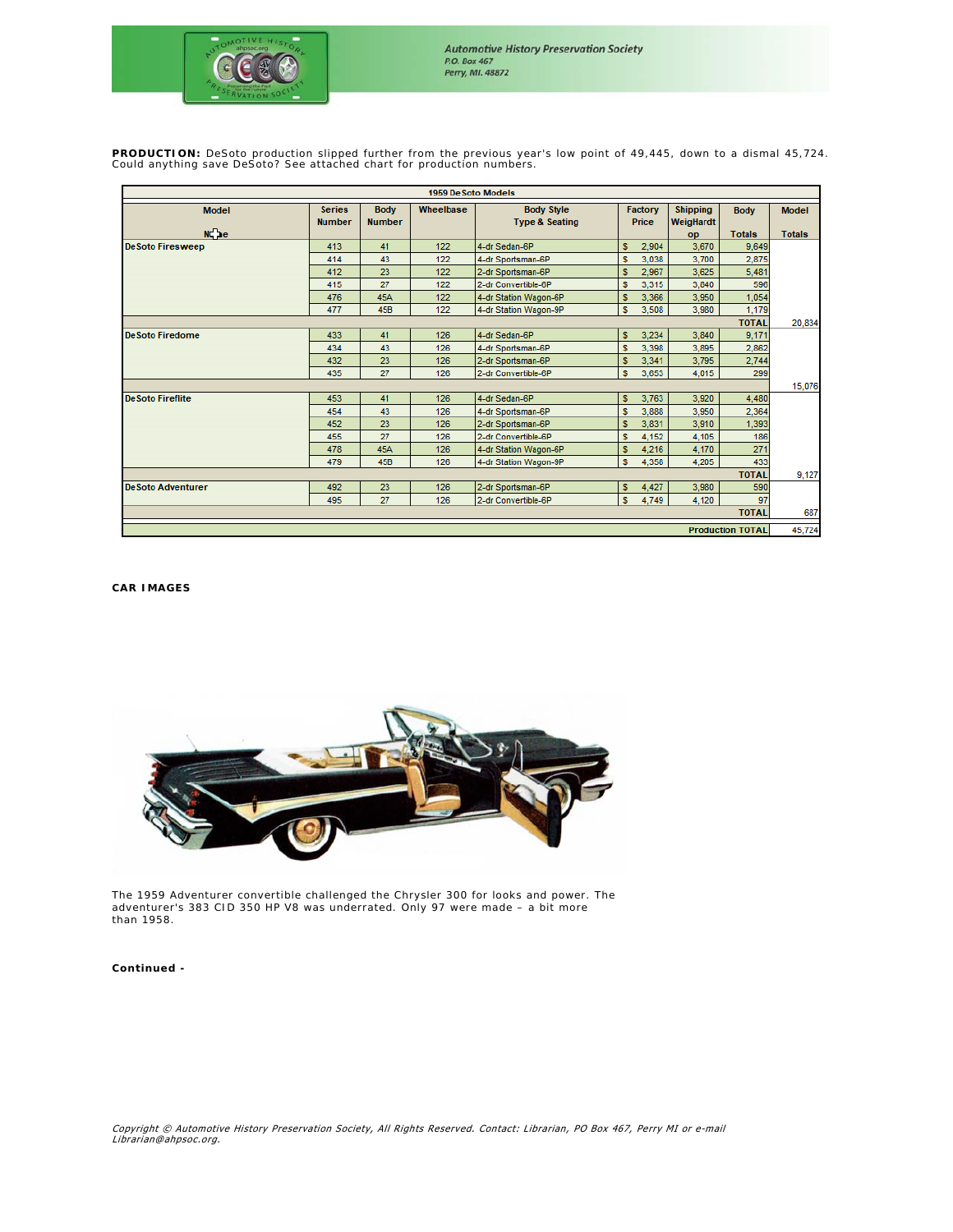

**PRODUCTION:** DeSoto production slipped further from the previous year's low point of 49,445, down to a dismal 45,724. Could anything save DeSoto? See attached chart for production numbers.

| 1959 De Soto Models       |                                |                              |           |                                                |    |                  |                              |               |               |
|---------------------------|--------------------------------|------------------------------|-----------|------------------------------------------------|----|------------------|------------------------------|---------------|---------------|
| <b>Model</b>              | <b>Series</b><br><b>Number</b> | <b>Body</b><br><b>Number</b> | Wheelbase | <b>Body Style</b><br><b>Type &amp; Seating</b> |    | Factory<br>Price | <b>Shipping</b><br>WeigHardt | <b>Body</b>   | <b>Model</b>  |
| N. he                     |                                |                              |           |                                                |    |                  | op                           | <b>Totals</b> | <b>Totals</b> |
| <b>DeSoto Firesweep</b>   | 413                            | 41                           | 122       | 4-dr Sedan-6P                                  | s. | 2.904            | 3.670                        | 9,649         |               |
|                           | 414                            | 43                           | 122       | 4-dr Sportsman-6P                              | s  | 3,038            | 3.700                        | 2,875         |               |
|                           | 412                            | 23                           | 122       | 2-dr Sportsman-6P                              | s  | 2.967            | 3.625                        | 5,481         |               |
|                           | 415                            | 27                           | 122       | 2-dr Convertible-6P                            | s  | 3,315            | 3,840                        | 596           |               |
|                           | 476                            | <b>45A</b>                   | 122       | 4-dr Station Wagon-6P                          |    | 3,366            | 3.950                        | 1,054         |               |
|                           | 477                            | <b>45B</b>                   | 122       | 4-dr Station Wagon-9P                          | s  | 3,508            | 3,980                        | 1,179         |               |
| <b>TOTAL</b>              |                                |                              |           |                                                |    |                  |                              |               | 20,834        |
| <b>De Soto Firedome</b>   | 433                            | 41                           | 126       | 4-dr Sedan-6P                                  | s  | 3,234            | 3.840                        | 9,171         |               |
|                           | 434                            | 43                           | 126       | 4-dr Sportsman-6P                              | s  | 3.398            | 3.895                        | 2,862         |               |
|                           | 432                            | 23                           | 126       | 2-dr Sportsman-6P                              | s  | 3,341            | 3,795                        | 2,744         |               |
|                           | 435                            | 27                           | 126       | 2-dr Convertible-6P                            | s  | 3,653            | 4,015                        | 299           |               |
|                           |                                |                              |           |                                                |    |                  |                              |               | 15,076        |
| <b>De Soto Fireflite</b>  | 453                            | 41                           | 126       | 4-dr Sedan-6P                                  | s. | 3.763            | 3,920                        | 4,480         |               |
|                           | 454                            | 43                           | 126       | 4-dr Sportsman-6P                              | s  | 3,888            | 3,950                        | 2,364         |               |
|                           | 452                            | 23                           | 126       | 2-dr Sportsman-6P                              | s  | 3.831            | 3.910                        | 1,393         |               |
|                           | 455                            | 27                           | 126       | 2-dr Convertible-6P                            | s  | 4,152            | 4,105                        | 186           |               |
|                           | 478                            | 45A                          | 126       | 4-dr Station Wagon-6P                          | s  | 4,216            | 4,170                        | 271           |               |
|                           | 479                            | <b>45B</b>                   | 126       | 4-dr Station Wagon-9P                          | s  | 4,358            | 4,205                        | 433           |               |
| <b>TOTAL</b>              |                                |                              |           |                                                |    |                  |                              |               | 9,127         |
| <b>De Soto Adventurer</b> | 492                            | 23                           | 126       | 2-dr Sportsman-6P                              | s. | 4,427            | 3,980                        | 590           |               |
|                           | 495                            | 27                           | 126       | 2-dr Convertible-6P                            | s  | 4,749            | 4,120                        | 97            |               |
|                           |                                |                              |           |                                                |    |                  |                              | <b>TOTAL</b>  | 687           |
| <b>Production TOTAL</b>   |                                |                              |           |                                                |    |                  |                              |               | 45,724        |

## **CAR IMAGES**



The 1959 Adventurer convertible challenged the Chrysler 300 for looks and power. The adventurer's 383 CID 350 HP V8 was underrated. Only 97 were made – a bit more than 1958.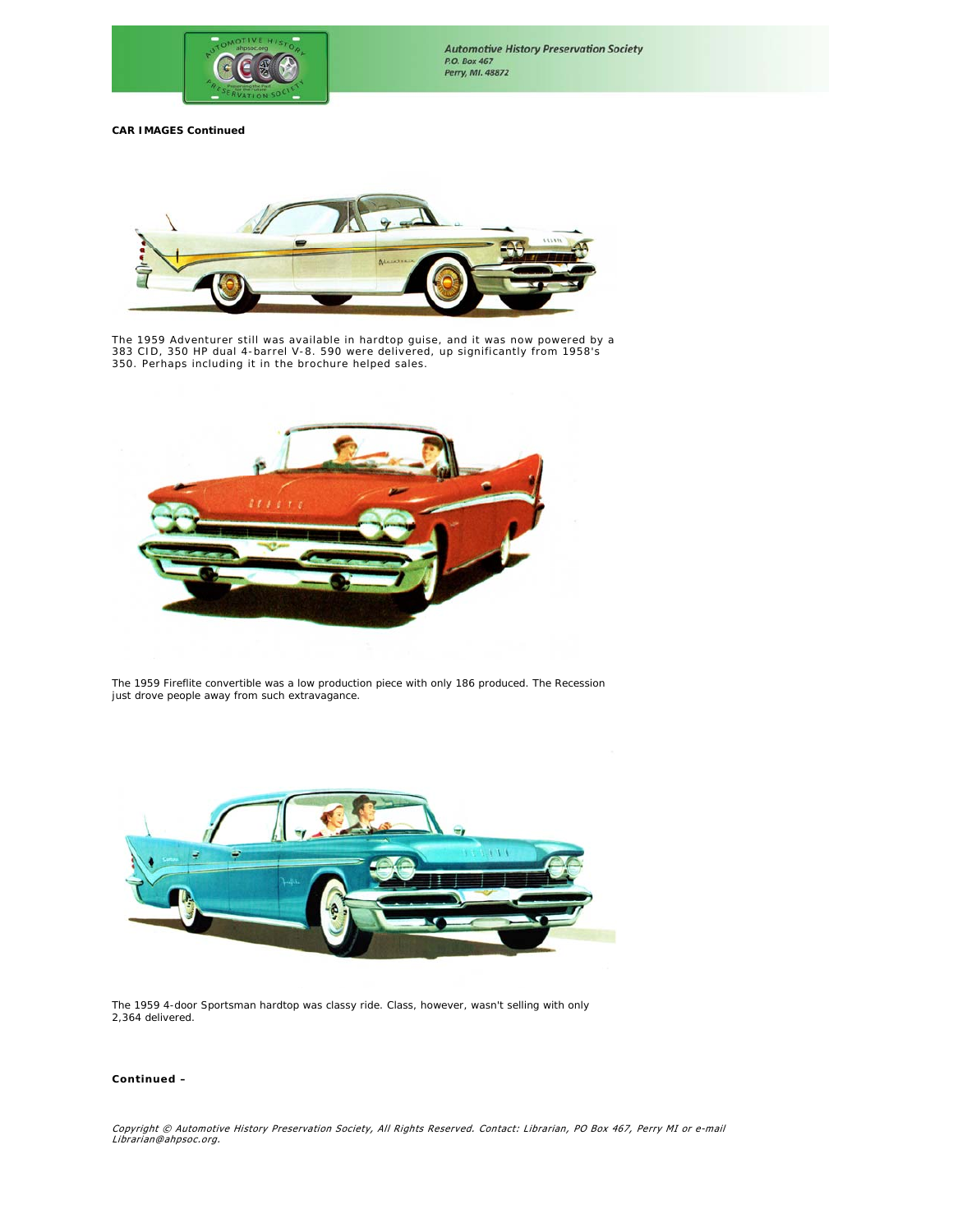



The 1959 Adventurer still was available in hardtop guise, and it was now powered by a 383 CID, 350 HP dual 4-barrel V-8. 590 were delivered, up significantly from 1958's 350. Perhaps including it in the brochure helped sales.



The 1959 Fireflite convertible was a low production piece with only 186 produced. The Recession just drove people away from such extravagance.



The 1959 4-door Sportsman hardtop was classy ride. Class, however, wasn't selling with only 2,364 delivered.

## *Continued –*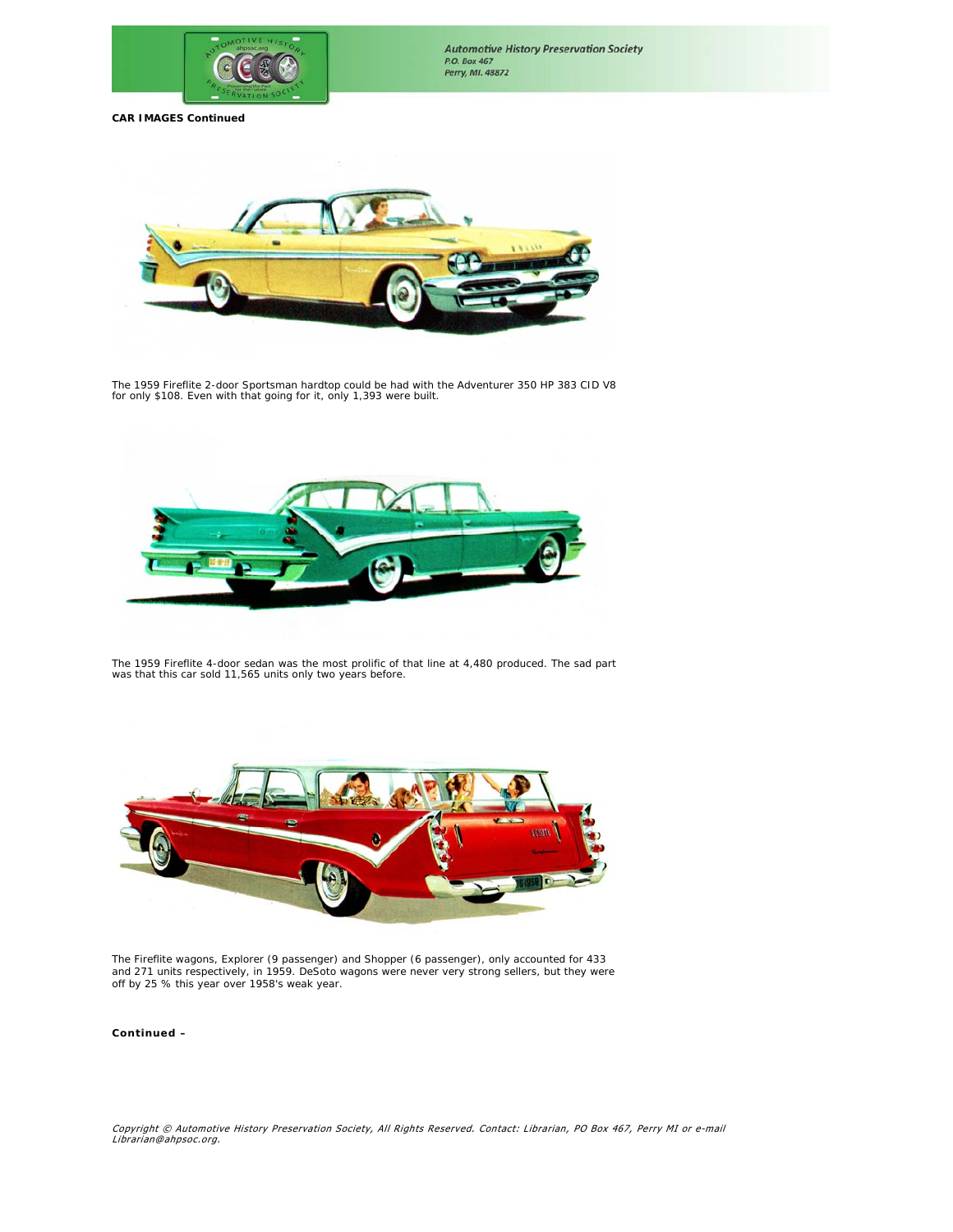



The 1959 Fireflite 2-door Sportsman hardtop could be had with the Adventurer 350 HP 383 CID V8 for only \$108. Even with that going for it, only 1,393 were built.



The 1959 Fireflite 4-door sedan was the most prolific of that line at 4,480 produced. The sad part was that this car sold 11,565 units only two years before.



The Fireflite wagons, Explorer (9 passenger) and Shopper (6 passenger), only accounted for 433<br>and 271 units respectively, in 1959. DeSoto wagons were never very strong sellers, but they were<br>off by 25 % this year over 195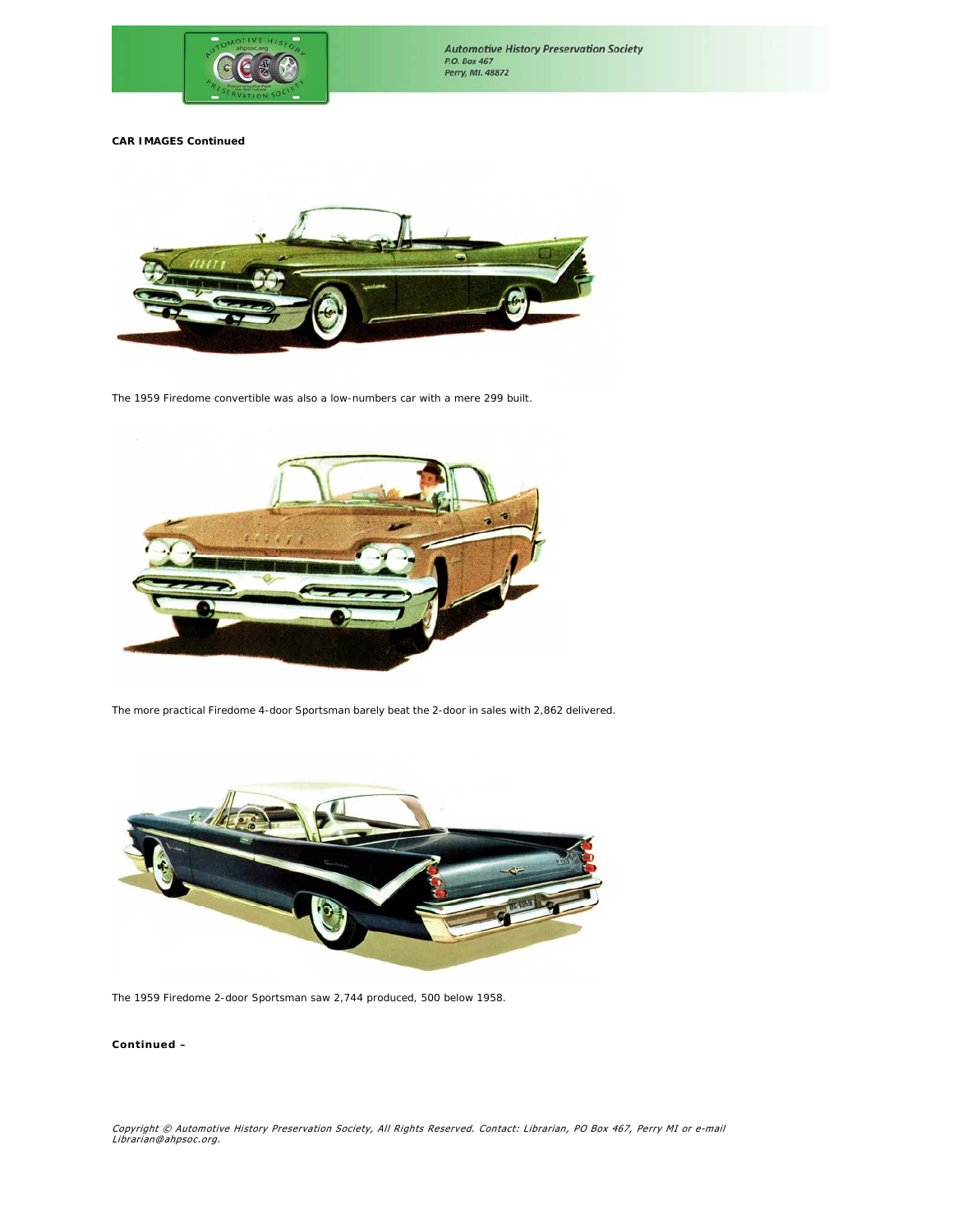



The 1959 Firedome convertible was also a low-numbers car with a mere 299 built.



The more practical Firedome 4-door Sportsman barely beat the 2-door in sales with 2,862 delivered.



The 1959 Firedome 2-door Sportsman saw 2,744 produced, 500 below 1958.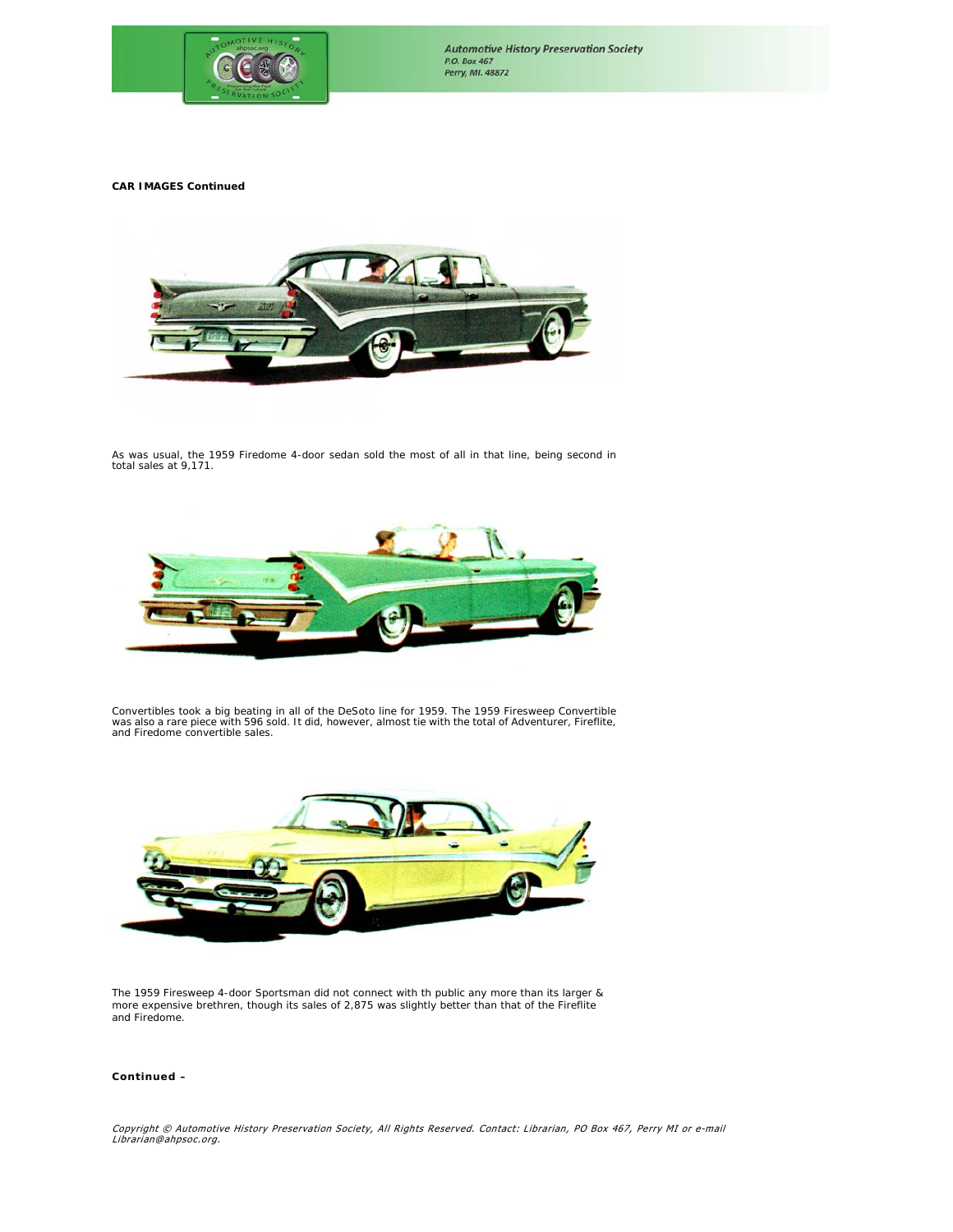



As was usual, the 1959 Firedome 4-door sedan sold the most of all in that line, being second in total sales at 9,171.



Convertibles took a big beating in all of the DeSoto line for 1959. The 1959 Firesweep Convertible<br>was also a rare piece with 596 sold. It did, however, almost tie with the total of Adventurer, Fireflite,<br>and Firedome conv



The 1959 Firesweep 4-door Sportsman did not connect with th public any more than its larger & more expensive brethren, though its sales of 2,875 was slightly better than that of the Fireflite and Firedome.

## *Continued –*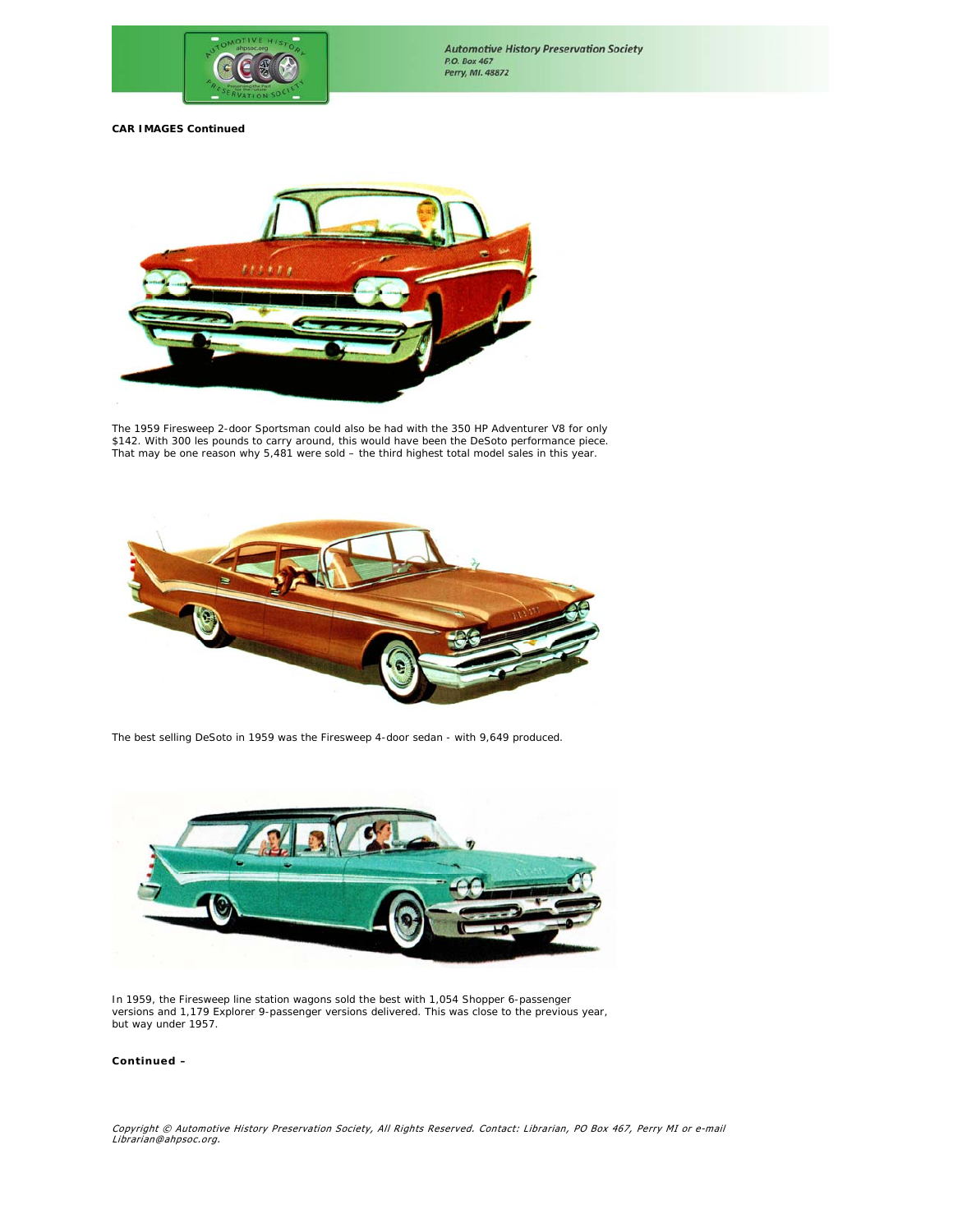



The 1959 Firesweep 2-door Sportsman could also be had with the 350 HP Adventurer V8 for only \$142. With 300 les pounds to carry around, this would have been the DeSoto performance piece. That may be one reason why 5,481 were sold – the third highest total model sales in this year.



The best selling DeSoto in 1959 was the Firesweep 4-door sedan - with 9,649 produced.



In 1959, the Firesweep line station wagons sold the best with 1,054 Shopper 6-passenger versions and 1,179 Explorer 9-passenger versions delivered. This was close to the previous year, but way under 1957.

## *Continued –*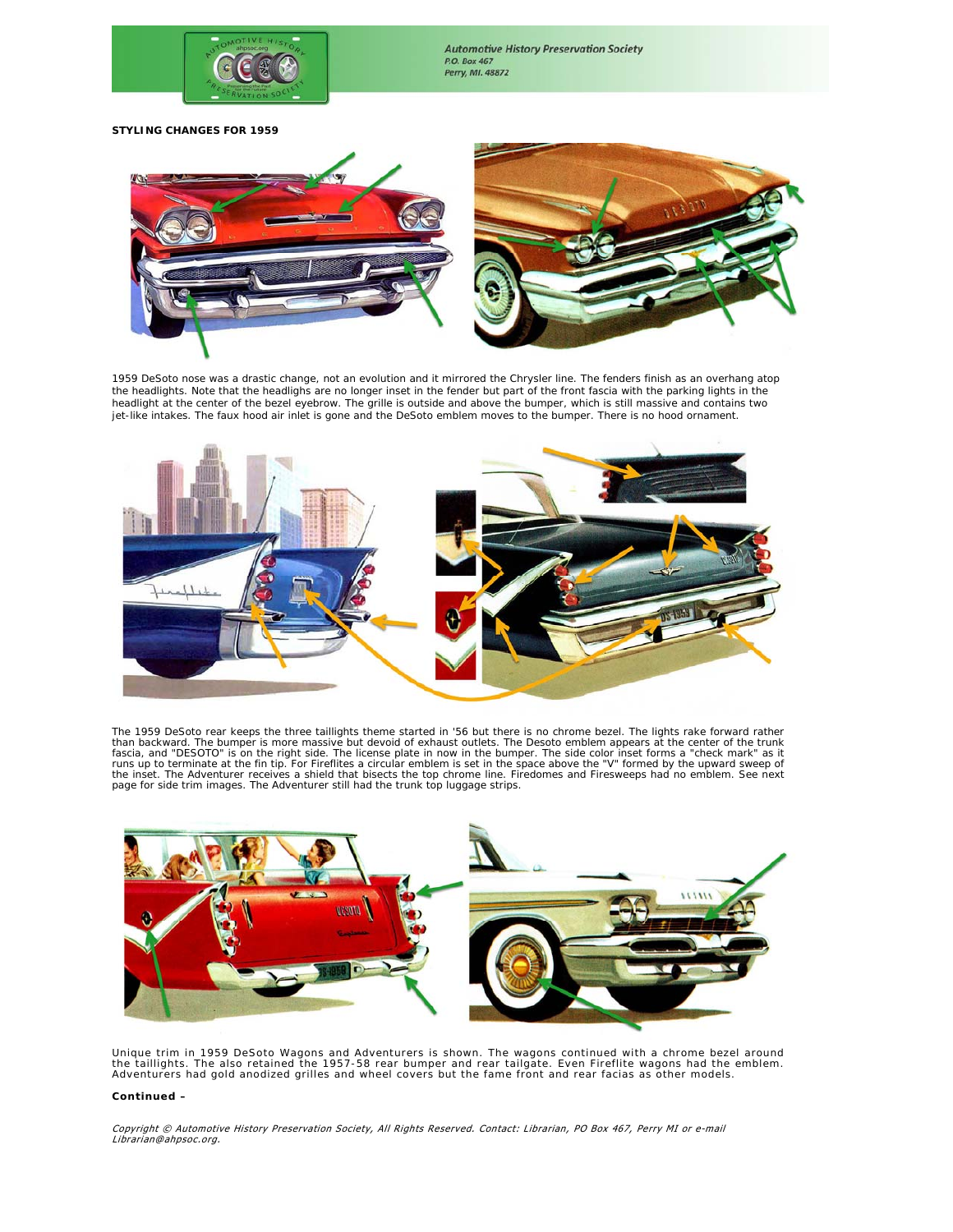

**Automotive History Preservation Society** P.O. Box 467 Perry, MI. 48872

**STYLING CHANGES FOR 1959** 



1959 DeSoto nose was a drastic change, not an evolution and it mirrored the Chrysler line. The fenders finish as an overhang atop<br>the headlights. Note that the headlighs are no longer inset in the fender but part of the fr headlight at the center of the bezel eyebrow. The grille is outside and above the bumper, which is still massive and contains two jet-like intakes. The faux hood air inlet is gone and the DeSoto emblem moves to the bumper. There is no hood ornament.



The 1959 DeSoto rear keeps the three taillights theme started in '56 but there is no chrome bezel. The lights rake forward rather than backward. The bumper is more massive but devoid of exhaust outlets. The Desoto emblem appears at the center of the trunk<br>fascia, and "DESOTO" is on the right side. The license plate in now in the bumper. The side colo



Unique trim in 1959 DeSoto Wagons and Adventurers is shown. The wagons continued with a chrome bezel around<br>the taillights. The also retained the 1957-58 rear bumper and rear tailgate. Even Fireflite wagons had the emblem.

#### *Continued –*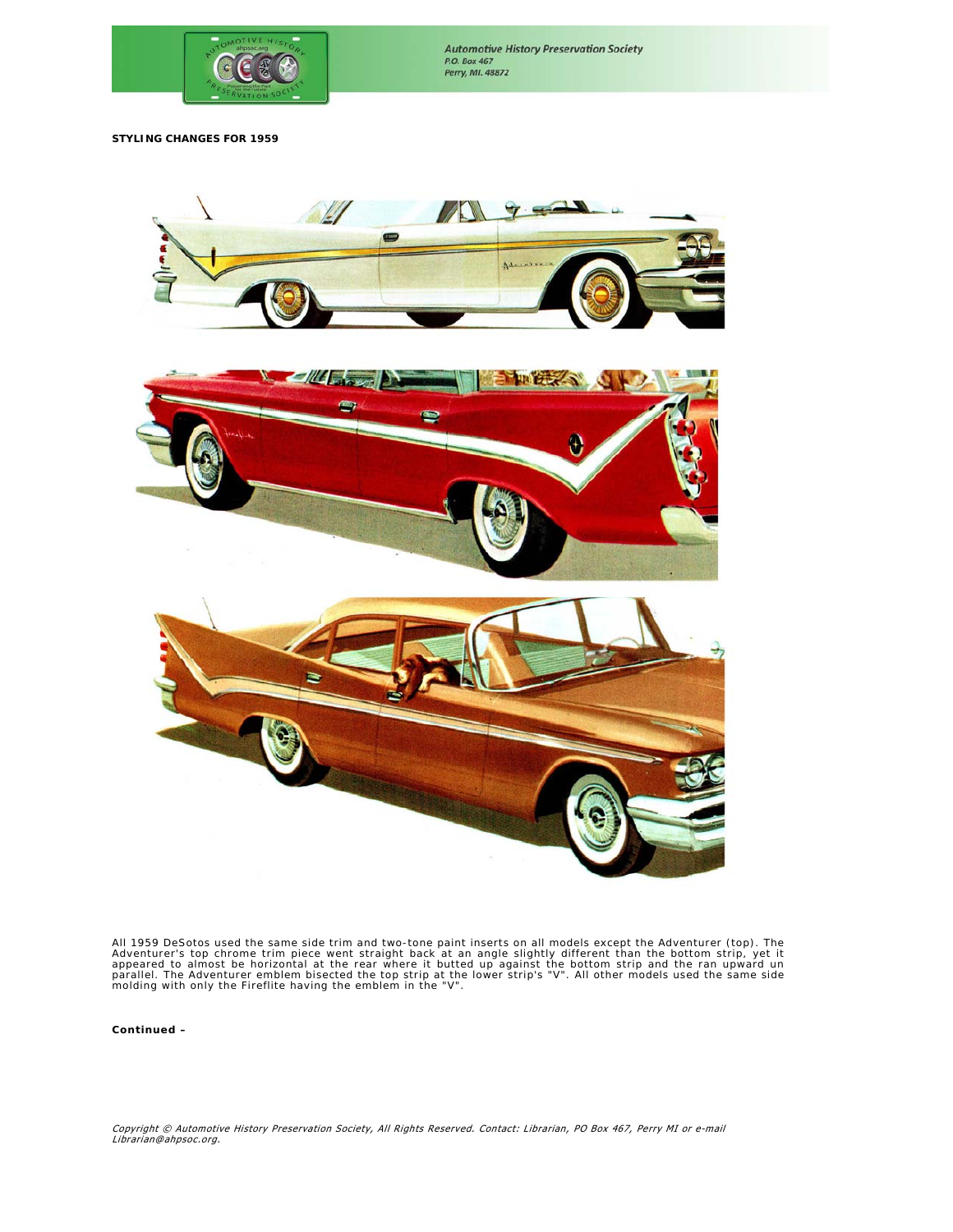

**Automotive History Preservation Society** P.O. Box 467 Perry, MI. 48872

**STYLING CHANGES FOR 1959**





All 1959 DeSotos used the same side trim and two-tone paint inserts on all models except the Adventurer (top). The<br>Adventurer's top chrome trim piece went straight back at an angle slightly different than the bottom strip,

*Continued –*